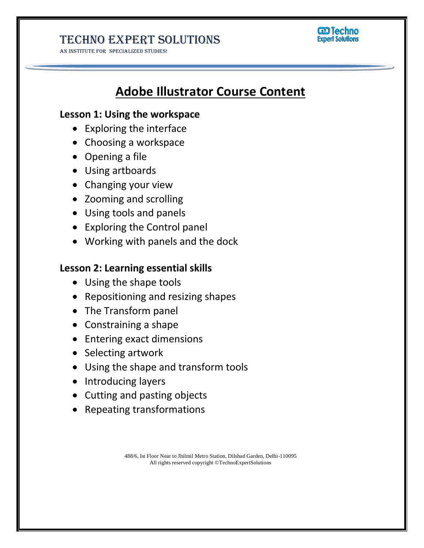### Techno Expert Solutions

AN INSTITUTE FOR SPECIALIZED STUDIES!



# **Adobe Illustrator Course Content**

### **Lesson 1: Using the workspace**

- Exploring the interface
- Choosing a workspace
- Opening a file
- Using artboards
- Changing your view
- Zooming and scrolling
- Using tools and panels
- Exploring the Control panel
- Working with panels and the dock

#### **Lesson 2: Learning essential skills**

- Using the shape tools
- Repositioning and resizing shapes
- The Transform panel
- Constraining a shape
- Entering exact dimensions
- Selecting artwork
- Using the shape and transform tools
- Introducing layers
- Cutting and pasting objects
- Repeating transformations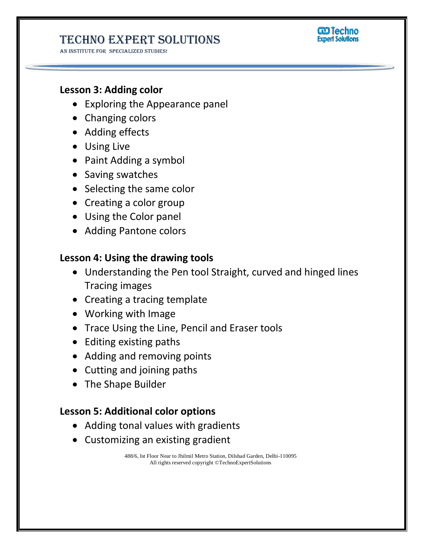## Techno Expert Solutions

AN INSTITUTE FOR SPECIALIZED STUDIES!



### **Lesson 3: Adding color**

- Exploring the Appearance panel
- Changing colors
- Adding effects
- Using Live
- Paint Adding a symbol
- Saving swatches
- Selecting the same color
- Creating a color group
- Using the Color panel
- Adding Pantone colors

### **Lesson 4: Using the drawing tools**

- Understanding the Pen tool Straight, curved and hinged lines Tracing images
- Creating a tracing template
- Working with Image
- Trace Using the Line, Pencil and Eraser tools
- Editing existing paths
- Adding and removing points
- Cutting and joining paths
- The Shape Builder

#### **Lesson 5: Additional color options**

- Adding tonal values with gradients
- Customizing an existing gradient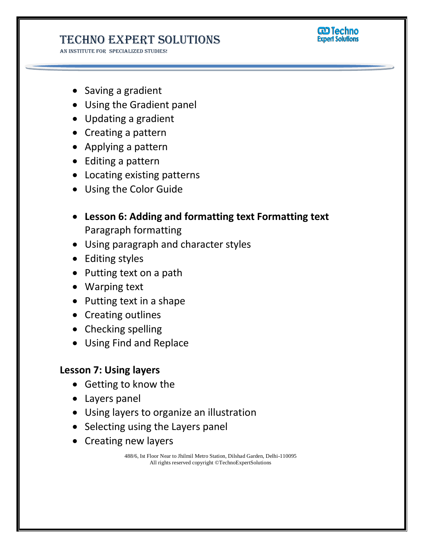## Techno Expert Solutions

AN INSTITUTE FOR SPECIALIZED STUDIES!



- Saving a gradient
- Using the Gradient panel
- Updating a gradient
- Creating a pattern
- Applying a pattern
- Editing a pattern
- Locating existing patterns
- Using the Color Guide
- **Lesson 6: Adding and formatting text Formatting text** Paragraph formatting
- Using paragraph and character styles
- Editing styles
- Putting text on a path
- Warping text
- Putting text in a shape
- Creating outlines
- Checking spelling
- Using Find and Replace

### **Lesson 7: Using layers**

- Getting to know the
- Layers panel
- Using layers to organize an illustration
- Selecting using the Layers panel
- Creating new layers